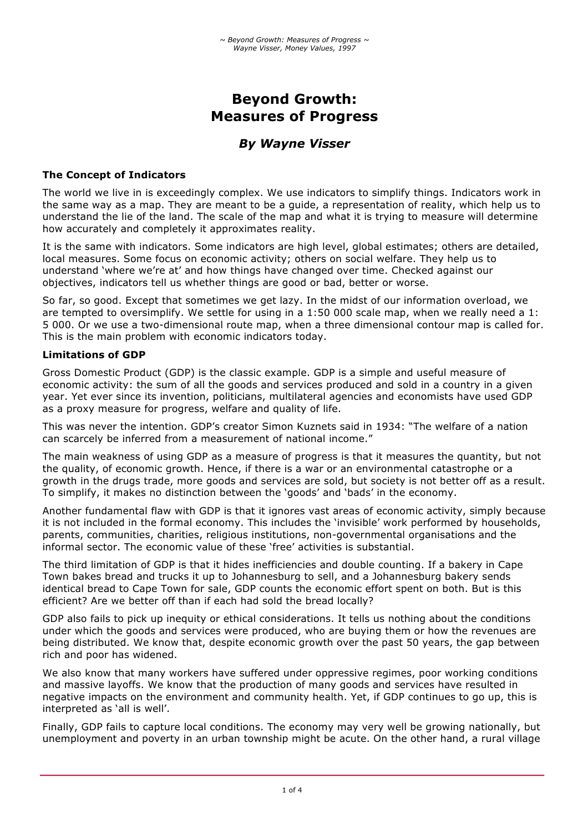# **Beyond Growth: Measures of Progress**

# *By Wayne Visser*

# **The Concept of Indicators**

The world we live in is exceedingly complex. We use indicators to simplify things. Indicators work in the same way as a map. They are meant to be a guide, a representation of reality, which help us to understand the lie of the land. The scale of the map and what it is trying to measure will determine how accurately and completely it approximates reality.

It is the same with indicators. Some indicators are high level, global estimates; others are detailed, local measures. Some focus on economic activity; others on social welfare. They help us to understand 'where we're at' and how things have changed over time. Checked against our objectives, indicators tell us whether things are good or bad, better or worse.

So far, so good. Except that sometimes we get lazy. In the midst of our information overload, we are tempted to oversimplify. We settle for using in a 1:50 000 scale map, when we really need a 1: 5 000. Or we use a two-dimensional route map, when a three dimensional contour map is called for. This is the main problem with economic indicators today.

#### **Limitations of GDP**

Gross Domestic Product (GDP) is the classic example. GDP is a simple and useful measure of economic activity: the sum of all the goods and services produced and sold in a country in a given year. Yet ever since its invention, politicians, multilateral agencies and economists have used GDP as a proxy measure for progress, welfare and quality of life.

This was never the intention. GDP's creator Simon Kuznets said in 1934: "The welfare of a nation can scarcely be inferred from a measurement of national income."

The main weakness of using GDP as a measure of progress is that it measures the quantity, but not the quality, of economic growth. Hence, if there is a war or an environmental catastrophe or a growth in the drugs trade, more goods and services are sold, but society is not better off as a result. To simplify, it makes no distinction between the 'goods' and 'bads' in the economy.

Another fundamental flaw with GDP is that it ignores vast areas of economic activity, simply because it is not included in the formal economy. This includes the 'invisible' work performed by households, parents, communities, charities, religious institutions, non-governmental organisations and the informal sector. The economic value of these 'free' activities is substantial.

The third limitation of GDP is that it hides inefficiencies and double counting. If a bakery in Cape Town bakes bread and trucks it up to Johannesburg to sell, and a Johannesburg bakery sends identical bread to Cape Town for sale, GDP counts the economic effort spent on both. But is this efficient? Are we better off than if each had sold the bread locally?

GDP also fails to pick up inequity or ethical considerations. It tells us nothing about the conditions under which the goods and services were produced, who are buying them or how the revenues are being distributed. We know that, despite economic growth over the past 50 years, the gap between rich and poor has widened.

We also know that many workers have suffered under oppressive regimes, poor working conditions and massive layoffs. We know that the production of many goods and services have resulted in negative impacts on the environment and community health. Yet, if GDP continues to go up, this is interpreted as 'all is well'.

Finally, GDP fails to capture local conditions. The economy may very well be growing nationally, but unemployment and poverty in an urban township might be acute. On the other hand, a rural village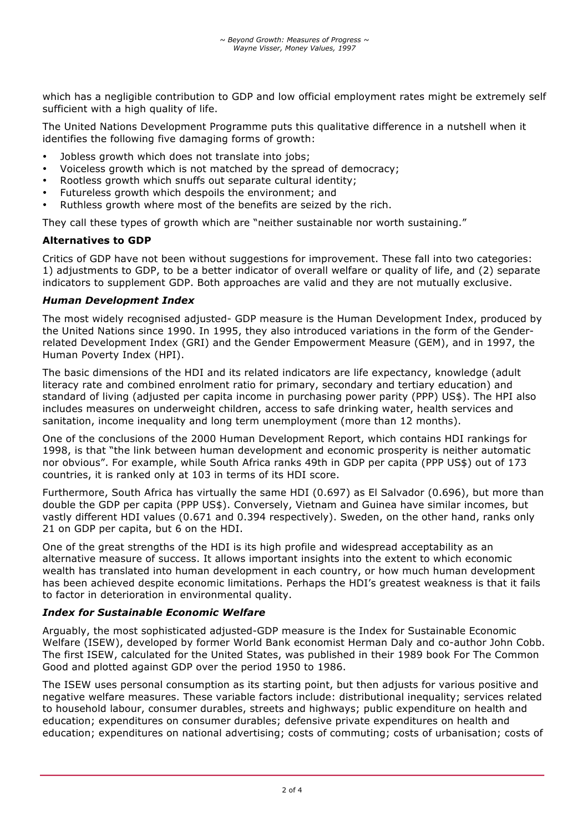which has a negligible contribution to GDP and low official employment rates might be extremely self sufficient with a high quality of life.

The United Nations Development Programme puts this qualitative difference in a nutshell when it identifies the following five damaging forms of growth:

- Jobless growth which does not translate into jobs;
- Voiceless growth which is not matched by the spread of democracy;
- Rootless growth which snuffs out separate cultural identity;
- Futureless growth which despoils the environment; and
- Ruthless growth where most of the benefits are seized by the rich.

They call these types of growth which are "neither sustainable nor worth sustaining."

#### **Alternatives to GDP**

Critics of GDP have not been without suggestions for improvement. These fall into two categories: 1) adjustments to GDP, to be a better indicator of overall welfare or quality of life, and (2) separate indicators to supplement GDP. Both approaches are valid and they are not mutually exclusive.

# *Human Development Index*

The most widely recognised adjusted- GDP measure is the Human Development Index, produced by the United Nations since 1990. In 1995, they also introduced variations in the form of the Genderrelated Development Index (GRI) and the Gender Empowerment Measure (GEM), and in 1997, the Human Poverty Index (HPI).

The basic dimensions of the HDI and its related indicators are life expectancy, knowledge (adult literacy rate and combined enrolment ratio for primary, secondary and tertiary education) and standard of living (adjusted per capita income in purchasing power parity (PPP) US\$). The HPI also includes measures on underweight children, access to safe drinking water, health services and sanitation, income inequality and long term unemployment (more than 12 months).

One of the conclusions of the 2000 Human Development Report, which contains HDI rankings for 1998, is that "the link between human development and economic prosperity is neither automatic nor obvious". For example, while South Africa ranks 49th in GDP per capita (PPP US\$) out of 173 countries, it is ranked only at 103 in terms of its HDI score.

Furthermore, South Africa has virtually the same HDI (0.697) as El Salvador (0.696), but more than double the GDP per capita (PPP US\$). Conversely, Vietnam and Guinea have similar incomes, but vastly different HDI values (0.671 and 0.394 respectively). Sweden, on the other hand, ranks only 21 on GDP per capita, but 6 on the HDI.

One of the great strengths of the HDI is its high profile and widespread acceptability as an alternative measure of success. It allows important insights into the extent to which economic wealth has translated into human development in each country, or how much human development has been achieved despite economic limitations. Perhaps the HDI's greatest weakness is that it fails to factor in deterioration in environmental quality.

# *Index for Sustainable Economic Welfare*

Arguably, the most sophisticated adjusted-GDP measure is the Index for Sustainable Economic Welfare (ISEW), developed by former World Bank economist Herman Daly and co-author John Cobb. The first ISEW, calculated for the United States, was published in their 1989 book For The Common Good and plotted against GDP over the period 1950 to 1986.

The ISEW uses personal consumption as its starting point, but then adjusts for various positive and negative welfare measures. These variable factors include: distributional inequality; services related to household labour, consumer durables, streets and highways; public expenditure on health and education; expenditures on consumer durables; defensive private expenditures on health and education; expenditures on national advertising; costs of commuting; costs of urbanisation; costs of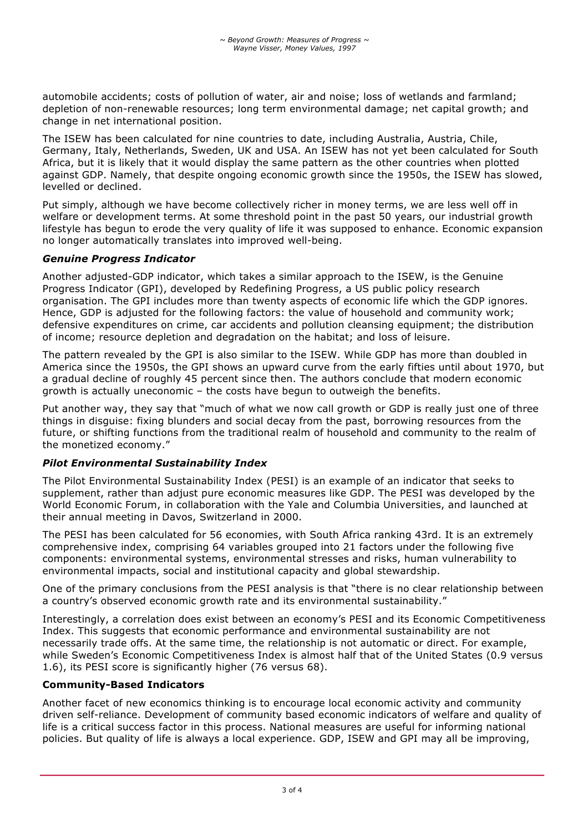automobile accidents; costs of pollution of water, air and noise; loss of wetlands and farmland; depletion of non-renewable resources; long term environmental damage; net capital growth; and change in net international position.

The ISEW has been calculated for nine countries to date, including Australia, Austria, Chile, Germany, Italy, Netherlands, Sweden, UK and USA. An ISEW has not yet been calculated for South Africa, but it is likely that it would display the same pattern as the other countries when plotted against GDP. Namely, that despite ongoing economic growth since the 1950s, the ISEW has slowed, levelled or declined.

Put simply, although we have become collectively richer in money terms, we are less well off in welfare or development terms. At some threshold point in the past 50 years, our industrial growth lifestyle has begun to erode the very quality of life it was supposed to enhance. Economic expansion no longer automatically translates into improved well-being.

# *Genuine Progress Indicator*

Another adjusted-GDP indicator, which takes a similar approach to the ISEW, is the Genuine Progress Indicator (GPI), developed by Redefining Progress, a US public policy research organisation. The GPI includes more than twenty aspects of economic life which the GDP ignores. Hence, GDP is adjusted for the following factors: the value of household and community work; defensive expenditures on crime, car accidents and pollution cleansing equipment; the distribution of income; resource depletion and degradation on the habitat; and loss of leisure.

The pattern revealed by the GPI is also similar to the ISEW. While GDP has more than doubled in America since the 1950s, the GPI shows an upward curve from the early fifties until about 1970, but a gradual decline of roughly 45 percent since then. The authors conclude that modern economic growth is actually uneconomic – the costs have begun to outweigh the benefits.

Put another way, they say that "much of what we now call growth or GDP is really just one of three things in disguise: fixing blunders and social decay from the past, borrowing resources from the future, or shifting functions from the traditional realm of household and community to the realm of the monetized economy."

# *Pilot Environmental Sustainability Index*

The Pilot Environmental Sustainability Index (PESI) is an example of an indicator that seeks to supplement, rather than adjust pure economic measures like GDP. The PESI was developed by the World Economic Forum, in collaboration with the Yale and Columbia Universities, and launched at their annual meeting in Davos, Switzerland in 2000.

The PESI has been calculated for 56 economies, with South Africa ranking 43rd. It is an extremely comprehensive index, comprising 64 variables grouped into 21 factors under the following five components: environmental systems, environmental stresses and risks, human vulnerability to environmental impacts, social and institutional capacity and global stewardship.

One of the primary conclusions from the PESI analysis is that "there is no clear relationship between a country's observed economic growth rate and its environmental sustainability."

Interestingly, a correlation does exist between an economy's PESI and its Economic Competitiveness Index. This suggests that economic performance and environmental sustainability are not necessarily trade offs. At the same time, the relationship is not automatic or direct. For example, while Sweden's Economic Competitiveness Index is almost half that of the United States (0.9 versus 1.6), its PESI score is significantly higher (76 versus 68).

# **Community-Based Indicators**

Another facet of new economics thinking is to encourage local economic activity and community driven self-reliance. Development of community based economic indicators of welfare and quality of life is a critical success factor in this process. National measures are useful for informing national policies. But quality of life is always a local experience. GDP, ISEW and GPI may all be improving,